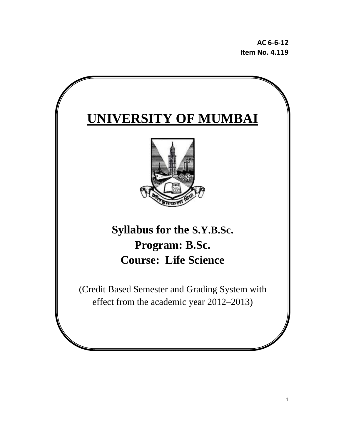**AC 6‐6‐12 Item No. 4.119**

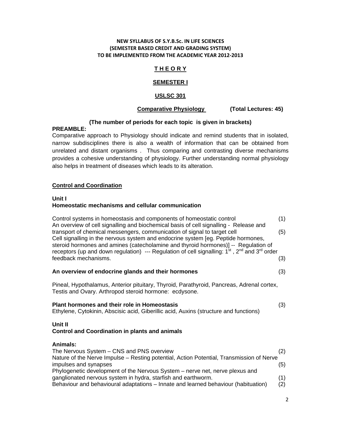#### **NEW SYLLABUS OF S.Y.B.Sc. IN LIFE SCIENCES (SEMESTER BASED CREDIT AND GRADING SYSTEM) TO BE IMPLEMENTED FROM THE ACADEMIC YEAR 2012‐2013**

## **T H E O R Y**

## **SEMESTER I**

## **USLSC 301**

## **Comparative Physiology (Total Lectures: 45)**

## **(The number of periods for each topic is given in brackets)**

## **PREAMBLE:**

Comparative approach to Physiology should indicate and remind students that in isolated, narrow subdisciplines there is also a wealth of information that can be obtained from unrelated and distant organisms . Thus comparing and contrasting diverse mechanisms provides a cohesive understanding of physiology. Further understanding normal physiology also helps in treatment of diseases which leads to its alteration.

## **Control and Coordination**

## **Unit I**

## **Homeostatic mechanisms and cellular communication**

Control systems in homeostasis and components of homeostatic control (1) An overview of cell signalling and biochemical basis of cell signalling - Release and transport of chemical messengers, communication of signal to target cell (5) Cell signalling in the nervous system and endocrine system [eg. Peptide hormones, steroid hormones and amines (catecholamine and thyroid hormones)] -- Regulation of receptors (up and down regulation) --- Regulation of cell signalling:  $1^{st}$ ,  $2^{nd}$  and  $3^{rd}$  order feedback mechanisms. (3)

#### **An overview of endocrine glands and their hormones** (3)

Pineal, Hypothalamus, Anterior pituitary, Thyroid, Parathyroid, Pancreas, Adrenal cortex, Testis and Ovary. Arthropod steroid hormone: ecdysone.

# **Plant hormones and their role in Homeostasis** (3) Ethylene, Cytokinin, Abscisic acid, Giberillic acid, Auxins (structure and functions)

#### **Unit II Control and Coordination in plants and animals**

**Animals:**  The Nervous System – CNS and PNS overview (2) Nature of the Nerve Impulse – Resting potential, Action Potential, Transmission of Nerve impulses and synapses (5) Phylogenetic development of the Nervous System – nerve net, nerve plexus and ganglionated nervous system in hydra, starfish and earthworm. (1) Behaviour and behavioural adaptations – Innate and learned behaviour (habituation) (2)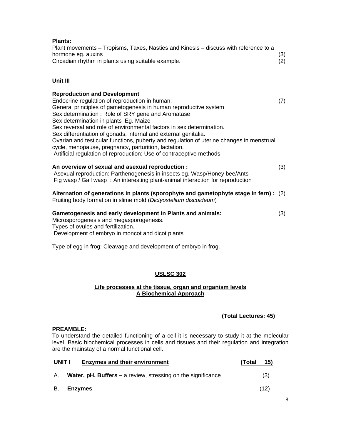| <b>Plants:</b><br>Plant movements - Tropisms, Taxes, Nasties and Kinesis - discuss with reference to a<br>hormone eg. auxins<br>Circadian rhythm in plants using suitable example.                                                                                                                                                                                                                 | (3)<br>(2) |
|----------------------------------------------------------------------------------------------------------------------------------------------------------------------------------------------------------------------------------------------------------------------------------------------------------------------------------------------------------------------------------------------------|------------|
| Unit III                                                                                                                                                                                                                                                                                                                                                                                           |            |
| <b>Reproduction and Development</b><br>Endocrine regulation of reproduction in human:<br>General principles of gametogenesis in human reproductive system<br>Sex determination: Role of SRY gene and Aromatase<br>Sex determination in plants Eg. Maize<br>Sex reversal and role of environmental factors in sex determination.<br>Sex differentiation of gonads, internal and external genitalia. | (7)        |
| Ovarian and testicular functions, puberty and regulation of uterine changes in menstrual<br>cycle, menopause, pregnancy, parturition, lactation.<br>Artificial regulation of reproduction: Use of contraceptive methods                                                                                                                                                                            |            |
| An overview of sexual and asexual reproduction :<br>Asexual reproduction: Parthenogenesis in insects eg. Wasp/Honey bee/Ants<br>Fig wasp / Gall wasp: An interesting plant-animal interaction for reproduction                                                                                                                                                                                     | (3)        |
| Alternation of generations in plants (sporophyte and gametophyte stage in fern) :<br>Fruiting body formation in slime mold (Dictyostelium discoideum)                                                                                                                                                                                                                                              | (2)        |
| Gametogenesis and early development in Plants and animals:<br>Microsporogenesis and megasporogenesis.<br>Types of ovules and fertilization.<br>Development of embryo in moncot and dicot plants                                                                                                                                                                                                    | (3)        |
| Type of egg in frog: Cleavage and development of embryo in frog.                                                                                                                                                                                                                                                                                                                                   |            |

## **USLSC 302**

## **Life processes at the tissue, organ and organism levels A Biochemical Approach**

## **(Total Lectures: 45)**

## **PREAMBLE:**

To understand the detailed functioning of a cell it is necessary to study it at the molecular level. Basic biochemical processes in cells and tissues and their regulation and integration are the mainstay of a normal functional cell.

| UNIT I | <b>Enzymes and their environment</b>                                | 15)<br>(Total |
|--------|---------------------------------------------------------------------|---------------|
| A.     | <b>Water, pH, Buffers</b> – a review, stressing on the significance | (3)           |
| В.     | <b>Enzvmes</b>                                                      | (12)          |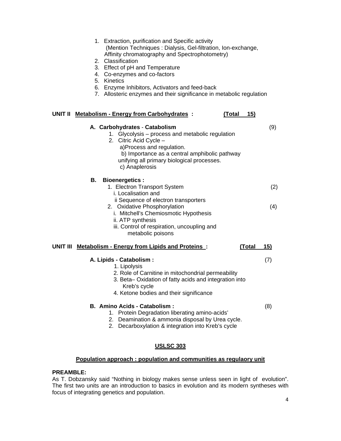| 1. Extraction, purification and Specific activity            |
|--------------------------------------------------------------|
| (Mention Techniques: Dialysis, Gel-filtration, Ion-exchange, |
| Affinity chromatography and Spectrophotometry)               |

- 2. Classification
- 3. Effect of pH and Temperature
- 4. Co-enzymes and co-factors
- 5. Kinetics
- 6. Enzyme Inhibitors, Activators and feed-back
- 7. Allosteric enzymes and their significance in metabolic regulation

## **UNIT II Metabolism - Energy from Carbohydrates : (Total 15)**

| A. Carbohydrates - Catabolism<br>1. Glycolysis - process and metabolic regulation<br>2. Citric Acid Cycle -<br>a)Process and regulation.<br>b) Importance as a central amphibolic pathway<br>unifying all primary biological processes.<br>c) Anaplerosis | (9) |
|-----------------------------------------------------------------------------------------------------------------------------------------------------------------------------------------------------------------------------------------------------------|-----|
| В.<br><b>Bioenergetics:</b><br>1. Electron Transport System<br>i. Localisation and                                                                                                                                                                        | (2) |
| ii Sequence of electron transporters<br>2. Oxidative Phosphorylation<br>i. Mitchell's Chemiosmotic Hypothesis<br>ii. ATP synthesis<br>iii. Control of respiration, uncoupling and<br>metabolic poisons                                                    | (4) |
| UNIT III<br><b>Metabolism - Energy from Lipids and Proteins:</b><br>(Total                                                                                                                                                                                | 15) |
| A. Lipids - Catabolism :<br>1. Lipolysis<br>2. Role of Carnitine in mitochondrial permeability<br>3. Beta-Oxidation of fatty acids and integration into<br>Kreb's cycle<br>4. Ketone bodies and their significance                                        | (7) |
| B. Amino Acids - Catabolism:<br>1. Protein Degradation liberating amino-acids'<br>2. Deamination & ammonia disposal by Urea cycle.<br>Decarboxylation & integration into Kreb's cycle<br>2.                                                               | (8) |

## **USLSC 303**

#### **Population approach : population and communities as regulaory unit**

#### **PREAMBLE:**

As T. Dobzansky said "Nothing in biology makes sense unless seen in light of evolution". The first two units are an introduction to basics in evolution and its modern syntheses with focus of integrating genetics and population.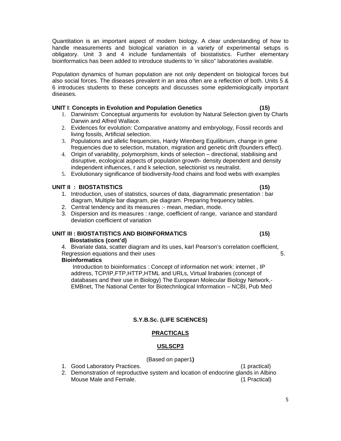Quantitation is an important aspect of modern biology. A clear understanding of how to handle measurements and biological variation in a variety of experimental setups is obligatory. Unit 3 and 4 include fundamentals of biostatistics. Further elementary bioinformatics has been added to introduce students to 'in silico" laboratories available.

Population dynamics of human population are not only dependent on biological forces but also social forces. The diseases prevalent in an area often are a reflection of both. Units 5 & 6 introduces students to these concepts and discusses some epidemiologically important diseases.

#### **UNIT I**: **Concepts in Evolution and Population Genetics (15)**

- 1. Darwinism: Conceptual arguments for evolution by Natural Selection given by Charls Darwin and Alfred Wallace.
- 2. Evidences for evolution: Comparative anatomy and embryology, Fossil records and living fossils, Artificial selection.
- 3. Populations and allelic frequencies, Hardy Wienberg Equilibrium, change in gene frequencies due to selection, mutation, migration and genetic drift (founders effect).
- 4. Origin of variability, polymorphism, kinds of selection directional, stabilising and disruptive, ecological aspects of population growth- density dependent and density independent influences, r and k selection, selectionist vs neutralist.
- 5. Evolutionary significance of biodiversity-food chains and food webs with examples

## **UNIT II : BIOSTATISTICS (15)**

- 1. Introduction, uses of statistics, sources of data, diagrammatic presentation : bar diagram, Multiple bar diagram, pie diagram. Preparing frequency tables.
- 2. Central tendency and its measures :- mean, median, mode.
- 3. Dispersion and its measures : range, coefficient of range, variance and standard deviation coefficient of variation

#### **UNIT III : BIOSTATISTICS AND BIOINFORMATICS (15) Biostatistics (cont'd)**

4. Bivariate data, scatter diagram and its uses, karl Pearson's correlation coefficient, Regression equations and their uses 5.

#### **Bioinformatics**

 Introduction to bioinformatics : Concept of information net work: internet , IP address, TCP/IP,FTP,HTTP,HTML and URLs, Virtual lirabaries (concept of databases and their use in Biology) The European Molecular Biology Network,- EMBnet, The National Center for Biotechnlogical Information – NCBI, Pub Med

## **S.Y.B.Sc. (LIFE SCIENCES)**

## **PRACTICALS**

## **USLSCP3**

#### (Based on paper1**)**

- 1. Good Laboratory Practices. (1 practical)
- 2. Demonstration of reproductive system and location of endocrine glands in Albino Mouse Male and Female. (1 Practical)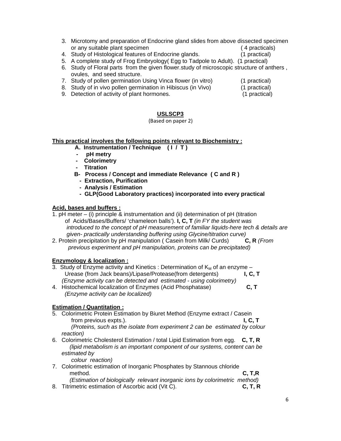- 3. Microtomy and preparation of Endocrine gland slides from above dissected specimen or any suitable plant specimen ( 4 practicals)
- 4. Study of Histological features of Endocrine glands. (1 practical)
- 5. A complete study of Frog Embryology( Egg to Tadpole to Adult). (1 practical)
- 6. Study of Floral parts from the given flower.study of microscopic structure of anthers , ovules, and seed structure.
- 7. Study of pollen germination Using Vinca flower (in vitro) (1 practical)
	-
- 8. Study of in vivo pollen germination in Hibiscus (in Vivo) (1 practical)
- 9. Detection of activity of plant hormones. (1 practical)

## **USLSCP3**

#### (Based on paper 2)

#### **This practical involves the following points relevant to Biochemistry :**

- **A. Instrumentation / Technique ( I / T )**
- **pH metry**
- **Colorimetry**
- **Titration**
- **B- Process / Concept and immediate Relevance ( C and R )** 
	- **Extraction, Purification**
	- **Analysis / Estimation**
	- **GLP(Good Laboratory practices) incorporated into every practical**

## **Acid, bases and buffers :**

- 1. pH meter (i) principle & instrumentation and (ii) determination of pH (titration of Acids/Bases/Buffers/ 'chameleon balls'). **I, C, T** *(in FY the student was introduced to the concept of pH measurement of familiar liquids-here tech & details are*
- *given- practically understanding buffering using Glycine/titration curve)*<br>brein precipitation by pH manipulation (Casein from Milk/ Curds) **C, R** (*From* 2. Protein precipitation by pH manipulation ( Casein from Milk/ Curds)  *previous experiment and pH manipulation, proteins can be precipitated)*

## **Enzymology & localization :**

- 3. Study of Enzyme activity and Kinetics : Determination of  $K_M$  of an enzyme Urease (from Jack beans)/Lipase/Protease(from detergents) **I, C, T** *(Enzyme activity can be detected and estimated - using colorimetry)*
- 4. Histochemical localization of Enzymes (Acid Phosphatase) **C, T** *(Enzyme activity can be localized)*

## **Estimation / Quantitation :**

- 5. Colorimetric Protein Estimation by Biuret Method (Enzyme extract / Casein from previous expts.). **I, C, T** *(Proteins, such as the isolate from experiment 2 can be estimated by colour reaction)*
- 6. Colorimetric Cholesterol Estimation / total Lipid Estimation from egg. **C, T, R** *(lipid metabolism is an important component of our systems, content can be estimated by*

 *colour reaction)*

- 7. Colorimetric estimation of Inorganic Phosphates by Stannous chloride method. **C, T,R** *(Estimation of biologically relevant inorganic ions by colorimetric method)*
- 8. Titrimetric estimation of Ascorbic acid (Vit C). **C, T, R**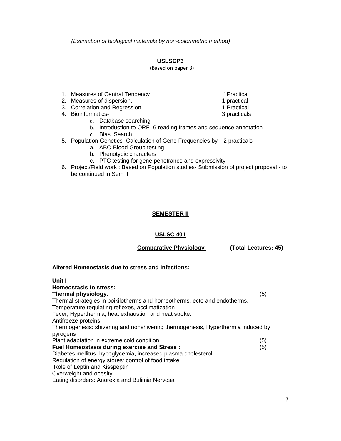*(Estimation of biological materials by non-colorimetric method)*

## **USLSCP3**

(Based on paper 3)

- 1. Measures of Central Tendency **1Practical**
- 2. Measures of dispersion, 1 practical 1 practical
- 3. Correlation and Regression 1 Practical
- 4. Bioinformatics- 3 practicals
	- a. Database searching
	- b. Introduction to ORF- 6 reading frames and sequence annotation
	- c. Blast Search
- 5. Population Genetics- Calculation of Gene Frequencies by- 2 practicals
	- a. ABO Blood Group testing
	- b. Phenotypic characters
	- c. PTC testing for gene penetrance and expressivity
- 6. Project/Field work : Based on Population studies- Submission of project proposal to be continued in Sem II

## **SEMESTER II**

## **USLSC 401**

 **Comparative Physiology (Total Lectures: 45)** 

#### **Altered Homeostasis due to stress and infections:**

| Unit I                                                                           |     |
|----------------------------------------------------------------------------------|-----|
| Homeostasis to stress:                                                           |     |
| Thermal physiology:                                                              | (5) |
| Thermal strategies in poikilotherms and homeotherms, ecto and endotherms.        |     |
| Temperature regulating reflexes, acclimatization                                 |     |
| Fever, Hyperthermia, heat exhaustion and heat stroke.                            |     |
| Antifreeze proteins.                                                             |     |
| Thermogenesis: shivering and nonshivering thermogenesis, Hyperthermia induced by |     |
| pyrogens                                                                         |     |
| Plant adaptation in extreme cold condition                                       | (5) |
| <b>Fuel Homeostasis during exercise and Stress:</b>                              | (5) |
| Diabetes mellitus, hypoglycemia, increased plasma cholesterol                    |     |
| Regulation of energy stores: control of food intake                              |     |
| Role of Leptin and Kisspeptin                                                    |     |
| Overweight and obesity                                                           |     |
| Eating disorders: Anorexia and Bulimia Nervosa                                   |     |

- 
- 
- 
- 
-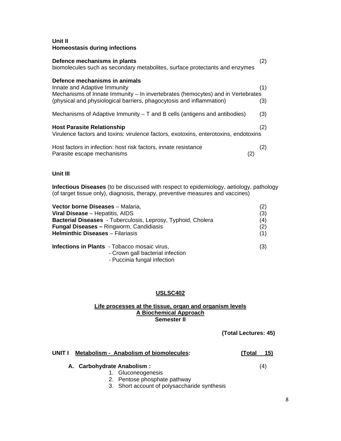## **Unit II Homeostasis during infections**

| Defence mechanisms in plants<br>biomolecules such as secondary metabolites, surface protectants and enzymes                                                                                                              | (2)        |
|--------------------------------------------------------------------------------------------------------------------------------------------------------------------------------------------------------------------------|------------|
| Defence mechanisms in animals<br>Innate and Adaptive Immunity<br>Mechanisms of Innate Immunity – In invertebrates (hemocytes) and in Vertebrates<br>(physical and physiological barriers, phagocytosis and inflammation) | (1)<br>(3) |
| Mechanisms of Adaptive Immunity $-$ T and B cells (antigens and antibodies)                                                                                                                                              | (3)        |
| <b>Host Parasite Relationship</b><br>Virulence factors and toxins: virulence factors, exotoxins, enterotoxins, endotoxins                                                                                                | (2)        |
| Host factors in infection: host risk factors, innate resistance<br>Parasite escape mechanisms                                                                                                                            | (2)        |

## **Unit III**

**Infectious Diseases** (to be discussed with respect to epidemiology, aetiology, pathology (of target tissue only), diagnosis, therapy, preventive measures and vaccines)

| Vector borne Diseases - Malaria,                                                        | (2) |
|-----------------------------------------------------------------------------------------|-----|
| Viral Disease - Hepatitis, AIDS                                                         | (3) |
| <b>Bacterial Diseases</b> - Tuberculosis, Leprosy, Typhoid, Cholera                     | (4) |
| <b>Fungal Diseases - Ringworm, Candidiasis</b>                                          | (2) |
| <b>Helminthic Diseases - Filariasis</b>                                                 | (1) |
| <b>Infections in Plants</b> - Tobacco mosaic virus,<br>- Crown gall bacterial infection | (3) |

- Puccinia fungal infection

## **USLSC402**

#### **Life processes at the tissue, organ and organism levels A Biochemical Approach Semester II**

**(Total Lectures: 45)** 

| UNIT I | Metabolism - Anabolism of biomolecules: | 15)<br>(Total |
|--------|-----------------------------------------|---------------|
|        | A. Carbohydrate Anabolism:              | (4)           |
|        | 1. Gluconeogenesis                      |               |

- 2. Pentose phosphate pathway
	- 3. Short account of polysaccharide synthesis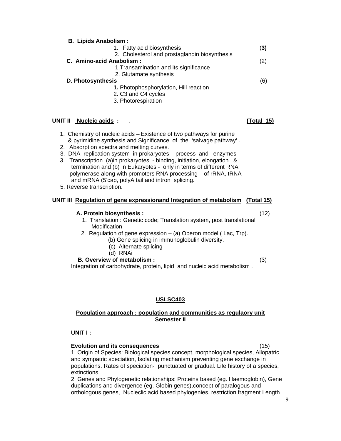#### **B. Lipids Anabolism :**

|                          | 1. Fatty acid biosynthesis                    | (3) |
|--------------------------|-----------------------------------------------|-----|
|                          | 2. Cholesterol and prostaglandin biosynthesis |     |
| C. Amino-acid Anabolism: |                                               | (2) |
|                          | 1. Transamination and its significance        |     |
|                          | 2. Glutamate synthesis                        |     |
| <b>D. Photosynthesis</b> |                                               | (6) |
|                          | 1. Photophosphorylation, Hill reaction        |     |
|                          | 2. C3 and C4 cycles                           |     |

3. Photorespiration

#### **UNIT II Nucleic acids :** . **(Total 15)**

- 1. Chemistry of nucleic acids Existence of two pathways for purine & pyrimidine synthesis and Significance of the 'salvage pathway' .
- 2. Absorption spectra and melting curves.
- 3. DNA replication system in prokaryotes process and enzymes
- 3. Transcription (a)in prokaryotes binding, initiation, elongation & termination and (b) In Eukaryotes - only in terms of different RNA polymerase along with promoters RNA processing – of rRNA, tRNA and mRNA (5'cap, polyA tail and intron splicing.
- 5. Reverse transcription.

## **UNIT III Regulation of gene expressionand Integration of metabolism (Total 15)**

#### **A. Protein biosynthesis :** (12)

- 1. Translation : Genetic code; Translation system, post translational Modification
- 2. Regulation of gene expression (a) Operon model ( Lac, Trp).
	- (b) Gene splicing in immunoglobulin diversity.
	- (c) Alternate splicing
	- (d) RNAi

 **B. Overview of metabolism :** (3)

Integration of carbohydrate, protein, lipid and nucleic acid metabolism .

## **USLSC403**

#### **Population approach : population and communities as regulaory unit Semester II**

#### **UNIT I :**

## **Evolution and its consequences** (15)

1. Origin of Species: Biological species concept, morphological species, Allopatric and sympatric speciation, Isolating mechanism preventing gene exchange in populations. Rates of speciation- punctuated or gradual. Life history of a species, extinctions.

2. Genes and Phylogenetic relationships: Proteins based (eg. Haemoglobin), Gene duplications and divergence (eg. Globin genes),concept of paralogous and orthologous genes, Nucleclic acid based phylogenies, restriction fragment Length

9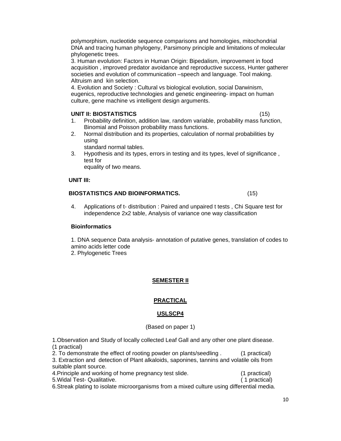polymorphism, nucleotide sequence comparisons and homologies, mitochondrial DNA and tracing human phylogeny, Parsimony principle and limitations of molecular phylogenetic trees.

3. Human evolution: Factors in Human Origin: Bipedalism, improvement in food acquisition , improved predator avoidance and reproductive success, Hunter gatherer societies and evolution of communication –speech and language. Tool making. Altruism and kin selection.

4. Evolution and Society : Cultural vs biological evolution, social Darwinism, eugenics, reproductive technologies and genetic engineering- impact on human culture, gene machine vs intelligent design arguments.

## **UNIT II: BIOSTATISTICS** (15)

- 1. Probability definition, addition law, random variable, probability mass function, Binomial and Poisson probability mass functions.
- 2. Normal distribution and its properties, calculation of normal probabilities by using

standard normal tables.

3. Hypothesis and its types, errors in testing and its types, level of significance , test for

equality of two means.

## **UNIT III:**

## **BIOSTATISTICS AND BIOINFORMATICS.** (15)

4. Applications of t- distribution : Paired and unpaired t tests , Chi Square test for independence 2x2 table, Analysis of variance one way classification

## **Bioinformatics**

1. DNA sequence Data analysis- annotation of putative genes, translation of codes to amino acids letter code

2. Phylogenetic Trees

## **SEMESTER II**

## **PRACTICAL**

## **USLSCP4**

(Based on paper 1)

1.Observation and Study of locally collected Leaf Gall and any other one plant disease. (1 practical)

2. To demonstrate the effect of rooting powder on plants/seedling . (1 practical)

3. Extraction and detection of Plant alkaloids, saponines, tannins and volatile oils from suitable plant source.

| 4. Principle and working of home pregnancy test slide. | (1 practical) |
|--------------------------------------------------------|---------------|
| 5. Widal Test- Qualitative.                            | (1 practical) |

6.Streak plating to isolate microorganisms from a mixed culture using differential media.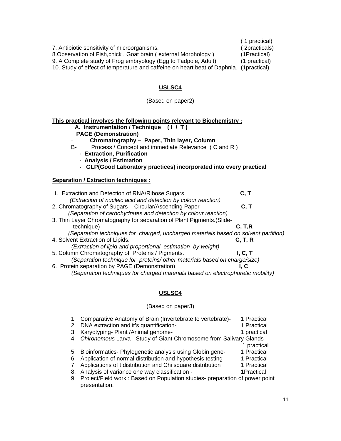( 1 practical) 7. Antibiotic sensitivity of microorganisms. ( 2practicals) 8.Observation of Fish, chick, Goat brain ( external Morphology ) (1Practical) 9. A Complete study of Frog embryology (Egg to Tadpole, Adult) (1 practical) 10. Study of effect of temperature and caffeine on heart beat of Daphnia. (1practical)

## **USLSC4**

## (Based on paper2)

| This practical involves the following points relevant to Biochemistry:<br>A. Instrumentation / Technique (I / T)<br><b>PAGE (Demonstration)</b><br>Chromatography - Paper, Thin layer, Column<br>Process / Concept and immediate Relevance (C and R)<br>B-<br>- Extraction, Purification<br>- Analysis / Estimation<br>- GLP(Good Laboratory practices) incorporated into every practical |                 |
|-------------------------------------------------------------------------------------------------------------------------------------------------------------------------------------------------------------------------------------------------------------------------------------------------------------------------------------------------------------------------------------------|-----------------|
| <b>Separation / Extraction techniques :</b>                                                                                                                                                                                                                                                                                                                                               |                 |
| 1. Extraction and Detection of RNA/Ribose Sugars.<br>(Extraction of nucleic acid and detection by colour reaction)                                                                                                                                                                                                                                                                        | C, T            |
| 2. Chromatography of Sugars - Circular/Ascending Paper<br>(Separation of carbohydrates and detection by colour reaction)                                                                                                                                                                                                                                                                  | C, T            |
| 3. Thin Layer Chromatography for separation of Plant Pigments. (Slide-<br>technique)                                                                                                                                                                                                                                                                                                      | C, T, R         |
| (Separation techniques for charged, uncharged materials based on solvent partition)<br>4. Solvent Extraction of Lipids.<br>(Extraction of lipid and proportional estimation by weight)                                                                                                                                                                                                    | C, T, R         |
| 5. Column Chromatography of Proteins / Pigments.<br>(Separation technique for proteins/ other materials based on charge/size)                                                                                                                                                                                                                                                             | I, C, T<br>I. C |
| 6. Protein separation by PAGE (Demonstration)<br>(Separation techniques for charged materials based on electrophoretic mobility)                                                                                                                                                                                                                                                          |                 |

## **USLSC4**

#### (Based on paper3)

|    | 1. Comparative Anatomy of Brain (Invertebrate to vertebrate)-<br>2. DNA extraction and it's quantification- | 1 Practical<br>1 Practical |
|----|-------------------------------------------------------------------------------------------------------------|----------------------------|
|    | 3. Karyotyping- Plant / Animal genome-                                                                      | 1 practical                |
|    | 4. Chironomous Larva- Study of Giant Chromosome from Salivary Glands                                        |                            |
|    |                                                                                                             | 1 practical                |
|    | 5. Bioinformatics- Phylogenetic analysis using Globin gene-                                                 | 1 Practical                |
|    | 6. Application of normal distribution and hypothesis testing                                                | 1 Practical                |
|    | 7. Applications of t distribution and Chi square distribution                                               | 1 Practical                |
| 8. | Analysis of variance one way classification -                                                               | 1Practical                 |
| 9. | Project/Field work: Based on Population studies- preparation of power point<br>presentation.                |                            |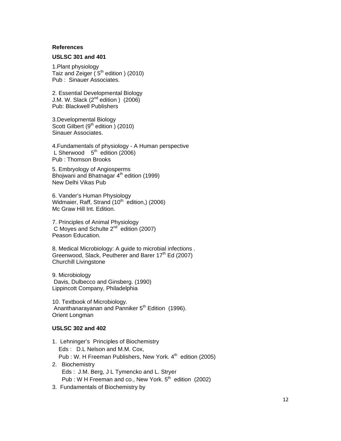#### **References**

#### **USLSC 301 and 401**

1.Plant physiology Taiz and Zeiger  $(5<sup>th</sup>$  edition ) (2010) Pub : Sinauer Associates.

2. Essential Developmental Biology J.M. W. Slack  $(2^{nd}$  edition )  $(2006)$ Pub: Blackwell Publishers

3.Developmental Biology Scott Gilbert ( $9<sup>th</sup>$  edition ) (2010) Sinauer Associates.

4.Fundamentals of physiology - A Human perspective L Sherwood  $5<sup>th</sup>$  edition (2006) Pub : Thomson Brooks

5. Embryology of Angiosperms Bhojwani and Bhatnagar  $4<sup>th</sup>$  edition (1999) New Delhi Vikas Pub

6. Vander's Human Physiology Widmaier, Raff, Strand  $(10<sup>th</sup>$  edition,) (2006) Mc Graw Hill Int. Edition.

7. Principles of Animal Physiology C Moyes and Schulte  $2^{nd}$  edition (2007) Peason Education.

8. Medical Microbiology: A guide to microbial infections . Greenwood, Slack, Peutherer and Barer 17<sup>th</sup> Ed (2007) Churchill Livingstone

9. Microbiology Davis, Dulbecco and Ginsberg. (1990) Lippincott Company, Philadelphia

10. Textbook of Microbiology. Ananthanarayanan and Panniker  $5<sup>th</sup>$  Edition (1996). Orient Longman

#### **USLSC 302 and 402**

- 1. Lehninger's Principles of Biochemistry Eds : D.L Nelson and M.M. Cox, Pub : W. H Freeman Publishers, New York. 4<sup>th</sup> edition (2005) 2. Biochemistry Eds : J.M. Berg, J L Tymencko and L. Stryer
	- Pub : W H Freeman and co., New York.  $5<sup>th</sup>$  edition (2002)
- 3. Fundamentals of Biochemistry by